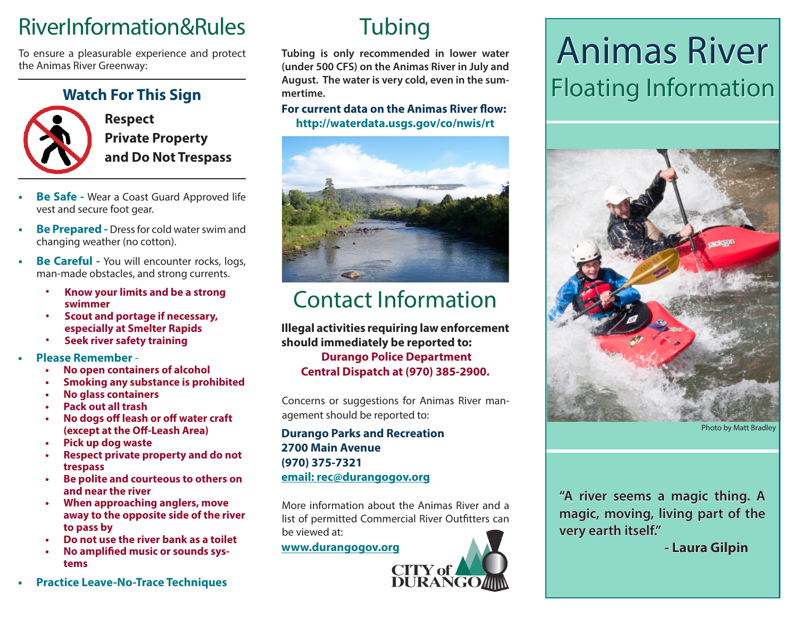## RiverInformation&Rules

To ensure a pleasurable experience and protect the Animas River Greenway:

#### **Watch For This Sign**



**Respect Private Property and Do Not Trespass**

- **• Be Safe -** Wear a Coast Guard Approved life vest and secure foot gear.
- **• Be Prepared -** Dress for cold water swim and changing weather (no cotton).
- **• Be Careful -** You will encounter rocks, logs, man-made obstacles, and strong currents.
	- **• Know your limits and be a strong swimmer**
	- **• Scout and portage if necessary, especially at Smelter Rapids**
	- **• Seek river safety training**
- **• Please Remember**
	- **• No open containers of alcohol**
	- **• Smoking any substance is prohibited**
	- **• No glass containers**
	- **• Pack out all trash**
	- **• No dogs off leash or off water craft (except at the Off-Leash Area)**
	- **• Pick up dog waste**
	- **• Respect private property and do not trespass**
	- **• Be polite and courteous to others on and near the river**
	- **• When approaching anglers, move away to the opposite side of the river to pass by**
	- **• Do not use the river bank as a toilet**
	- **• No amplified music or sounds systems**
- **• Practice Leave-No-Trace Techniques**

## **Tubing**

**Tubing is only recommended in lower water (under 500 CFS) on the Animas River in July and August. The water is very cold, even in the summertime.**

#### **http://waterdata.usgs.gov/co/nwis/rt For current data on the Animas River flow:**



## Contact Information

**Illegal activities requiring law enforcement should immediately be reported to: Durango Police Department Central Dispatch at (970) 385-2900.**

Concerns or suggestions for Animas River management should be reported to:

#### **Durango Parks and Recreation 2700 Main Avenue (970) 375-7321 email: rec@durangogov.org**

More information about the Animas River and a list of permitted Commercial River Outfitters can be viewed at:

**www.durangogov.org**



## Animas River Floating Information



Photo by Matt Bradley

**"A river seems a magic thing. A magic, moving, living part of the very earth itself."** 

 **- Laura Gilpin**